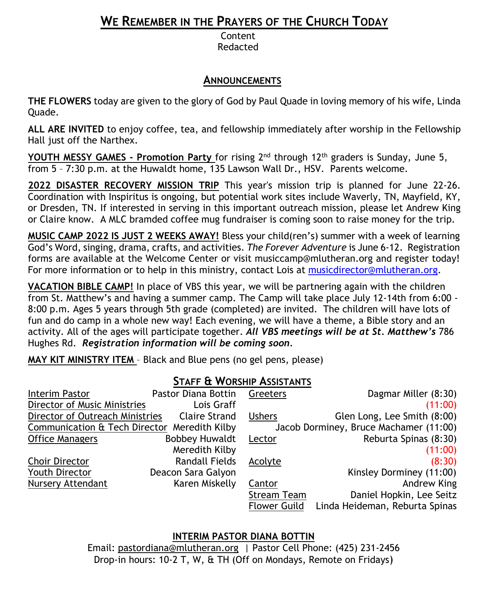# **WE REMEMBER IN THE PRAYERS OF THE CHURCH TODAY**

Content Redacted

### **ANNOUNCEMENTS**

**THE FLOWERS** today are given to the glory of God by Paul Quade in loving memory of his wife, Linda Quade.

**ALL ARE INVITED** to enjoy coffee, tea, and fellowship immediately after worship in the Fellowship Hall just off the Narthex.

**YOUTH MESSY GAMES - Promotion Party** for rising 2nd through 12th graders is Sunday, June 5, from 5 – 7:30 p.m. at the Huwaldt home, 135 Lawson Wall Dr., HSV. Parents welcome.

**2022 DISASTER RECOVERY MISSION TRIP** This year's mission trip is planned for June 22-26. Coordination with Inspiritus is ongoing, but potential work sites include Waverly, TN, Mayfield, KY, or Dresden, TN. If interested in serving in this important outreach mission, please let Andrew King or Claire know. A MLC bramded coffee mug fundraiser is coming soon to raise money for the trip.

**MUSIC CAMP 2022 IS JUST 2 WEEKS AWAY!** Bless your child(ren's) summer with a week of learning God's Word, singing, drama, crafts, and activities. *The Forever Adventure* is June 6-12. Registration forms are available at the Welcome Center or visit [musiccamp@mlutheran.org](mailto:musiccamp@mlutheran.org) and register today! For more information or to help in this ministry, contact Lois at [musicdirector@mlutheran.org.](mailto:musicdirector@mlutheran.org)

**VACATION BIBLE CAMP!** In place of VBS this year, we will be partnering again with the children from St. Matthew's and having a summer camp. The Camp will take place July 12-14th from 6:00 - 8:00 p.m. Ages 5 years through 5th grade (completed) are invited. The children will have lots of fun and do camp in a whole new way! Each evening, we will have a theme, a Bible story and an activity. All of the ages will participate together. *All VBS meetings will be at St. Matthew's* 786 Hughes Rd. *Registration information will be coming soon.*

**MAY KIT MINISTRY ITEM** – Black and Blue pens (no gel pens, please)

## **STAFF & WORSHIP ASSISTANTS**

| Interim Pastor                               | Pastor Diana Bottin   | Greeters                               | Dagmar Miller (8:30)           |
|----------------------------------------------|-----------------------|----------------------------------------|--------------------------------|
| Director of Music Ministries                 | Lois Graff            |                                        | (11:00)                        |
| Director of Outreach Ministries              | <b>Claire Strand</b>  | <b>Ushers</b>                          | Glen Long, Lee Smith (8:00)    |
| Communication & Tech Director Meredith Kilby |                       | Jacob Dorminey, Bruce Machamer (11:00) |                                |
| <b>Office Managers</b>                       | <b>Bobbey Huwaldt</b> | Lector                                 | Reburta Spinas (8:30)          |
|                                              | Meredith Kilby        |                                        | (11:00)                        |
| <b>Choir Director</b>                        | <b>Randall Fields</b> | Acolyte                                | (8:30)                         |
| <b>Youth Director</b>                        | Deacon Sara Galyon    |                                        | Kinsley Dorminey (11:00)       |
| Nursery Attendant                            | Karen Miskelly        | Cantor                                 | Andrew King                    |
|                                              |                       | <b>Stream Team</b>                     | Daniel Hopkin, Lee Seitz       |
|                                              |                       | Flower Guild                           | Linda Heideman, Reburta Spinas |

**INTERIM PASTOR DIANA BOTTIN**

Email: [pastordiana@mlutheran.org](mailto:pastordiana@mlutheran.org) | Pastor Cell Phone: (425) 231-2456 Drop-in hours: 10-2 T, W, & TH (Off on Mondays, Remote on Fridays)